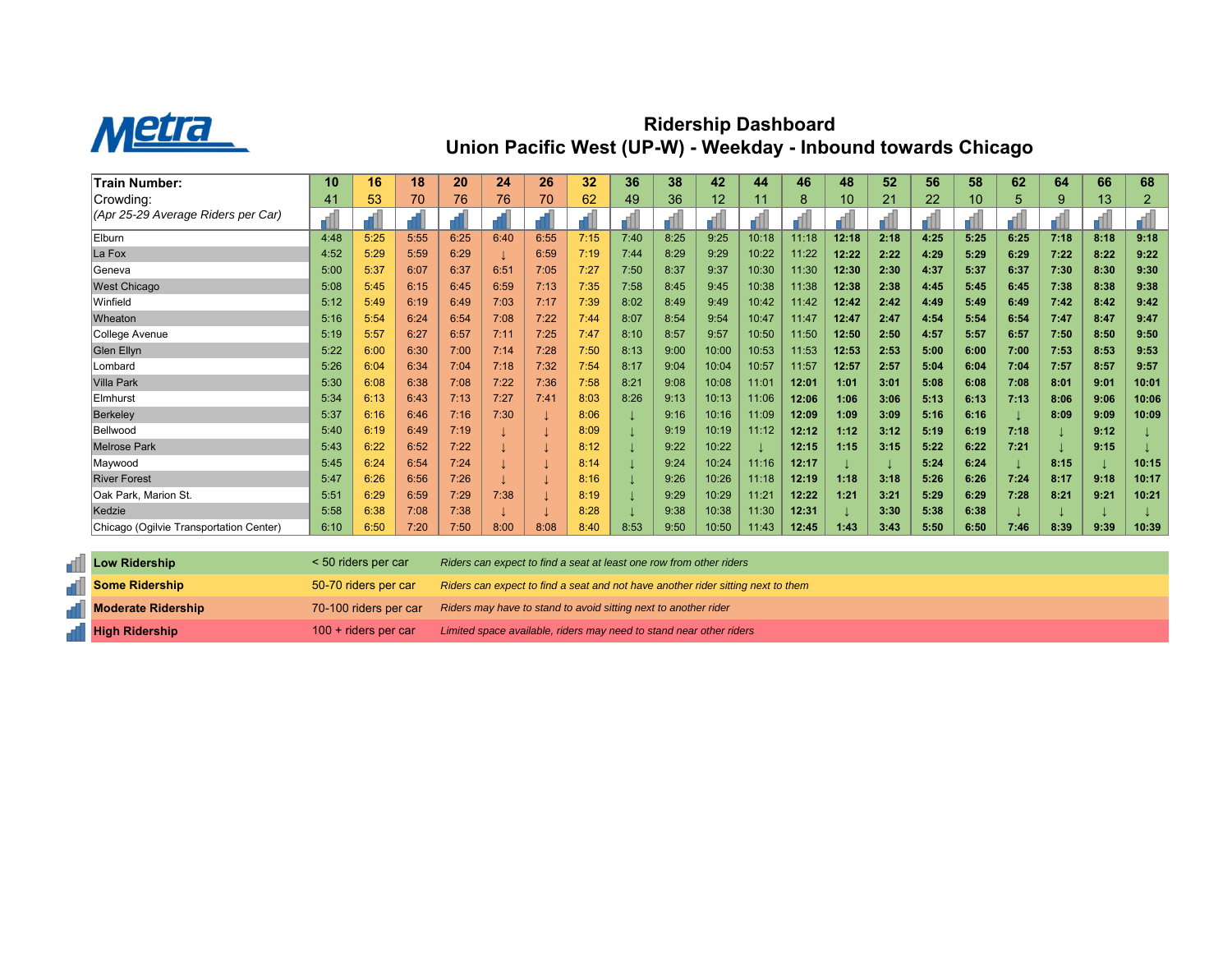

## **Ridership Dashboard Union Pacific West (UP-W) - Weekday - Inbound towards Chicago**

| Train Number:                           | 10   | 16   | 18   | 20   | 24   | 26   | 32   | 36   | 38   | 42    | 44    | 46    | 48    | 52   | 56   | 58   | 62   | 64   | 66   | 68    |
|-----------------------------------------|------|------|------|------|------|------|------|------|------|-------|-------|-------|-------|------|------|------|------|------|------|-------|
| Crowding:                               | 41   | 53   | 70   | 76   | 76   | 70   | 62   | 49   | 36   | 12    | 11    | 8     | 10    | 21   | 22   | 10   | 5    | 9    | 13   | 2     |
| (Apr 25-29 Average Riders per Car)      |      |      |      |      |      |      |      |      |      |       |       |       |       |      |      |      |      |      |      |       |
| Elburn                                  | 4:48 | 5:25 | 5:55 | 6:25 | 6:40 | 6:55 | 7:15 | 7:40 | 8:25 | 9:25  | 10:18 | 11:18 | 12:18 | 2:18 | 4:25 | 5:25 | 6:25 | 7:18 | 8:18 | 9:18  |
| La Fox                                  | 4:52 | 5:29 | 5:59 | 6:29 |      | 6:59 | 7:19 | 7:44 | 8:29 | 9:29  | 10:22 | 11:22 | 12:22 | 2:22 | 4:29 | 5:29 | 6:29 | 7:22 | 8:22 | 9:22  |
| Geneva                                  | 5:00 | 5:37 | 6:07 | 6:37 | 6:51 | 7:05 | 7:27 | 7:50 | 8:37 | 9:37  | 10:30 | 11:30 | 12:30 | 2:30 | 4:37 | 5:37 | 6:37 | 7:30 | 8:30 | 9:30  |
| <b>West Chicago</b>                     | 5:08 | 5:45 | 6:15 | 6:45 | 6:59 | 7:13 | 7:35 | 7:58 | 8:45 | 9:45  | 10:38 | 11:38 | 12:38 | 2:38 | 4:45 | 5:45 | 6:45 | 7:38 | 8:38 | 9:38  |
| Winfield                                | 5:12 | 5:49 | 6:19 | 6:49 | 7:03 | 7:17 | 7:39 | 8:02 | 8:49 | 9:49  | 10:42 | 11:42 | 12:42 | 2:42 | 4:49 | 5:49 | 6:49 | 7:42 | 8:42 | 9:42  |
| Wheaton                                 | 5:16 | 5:54 | 6:24 | 6:54 | 7:08 | 7:22 | 7:44 | 8:07 | 8:54 | 9:54  | 10:47 | 11:47 | 12:47 | 2:47 | 4:54 | 5:54 | 6:54 | 7:47 | 8:47 | 9:47  |
| College Avenue                          | 5:19 | 5:57 | 6:27 | 6:57 | 7:11 | 7:25 | 7:47 | 8:10 | 8:57 | 9:57  | 10:50 | 11:50 | 12:50 | 2:50 | 4:57 | 5:57 | 6:57 | 7:50 | 8:50 | 9:50  |
| Glen Ellyn                              | 5:22 | 6:00 | 6:30 | 7:00 | 7:14 | 7:28 | 7:50 | 8:13 | 9:00 | 10:00 | 10:53 | 11:53 | 12:53 | 2:53 | 5:00 | 6:00 | 7:00 | 7:53 | 8:53 | 9:53  |
| Lombard                                 | 5:26 | 6:04 | 6:34 | 7:04 | 7:18 | 7:32 | 7:54 | 8:17 | 9:04 | 10:04 | 10:57 | 11:57 | 12:57 | 2:57 | 5:04 | 6:04 | 7:04 | 7:57 | 8:57 | 9:57  |
| <b>Villa Park</b>                       | 5:30 | 6:08 | 6:38 | 7:08 | 7:22 | 7:36 | 7:58 | 8:21 | 9:08 | 10:08 | 11:01 | 12:01 | 1:01  | 3:01 | 5:08 | 6:08 | 7:08 | 8:01 | 9:01 | 10:01 |
| Elmhurst                                | 5:34 | 6:13 | 6:43 | 7:13 | 7:27 | 7:41 | 8:03 | 8:26 | 9:13 | 10:13 | 11:06 | 12:06 | 1:06  | 3:06 | 5:13 | 6:13 | 7:13 | 8:06 | 9:06 | 10:06 |
| <b>Berkeley</b>                         | 5:37 | 6:16 | 6:46 | 7:16 | 7:30 |      | 8:06 |      | 9:16 | 10:16 | 11:09 | 12:09 | 1:09  | 3:09 | 5:16 | 6:16 |      | 8:09 | 9:09 | 10:09 |
| Bellwood                                | 5:40 | 6:19 | 6:49 | 7:19 |      |      | 8:09 |      | 9:19 | 10:19 | 11:12 | 12:12 | 1:12  | 3:12 | 5:19 | 6:19 | 7:18 |      | 9:12 |       |
| <b>Melrose Park</b>                     | 5:43 | 6:22 | 6:52 | 7:22 |      |      | 8:12 |      | 9:22 | 10:22 |       | 12:15 | 1:15  | 3:15 | 5:22 | 6:22 | 7:21 |      | 9:15 |       |
| Maywood                                 | 5:45 | 6:24 | 6:54 | 7:24 |      |      | 8:14 |      | 9:24 | 10:24 | 11:16 | 12:17 |       |      | 5:24 | 6:24 |      | 8:15 |      | 10:15 |
| <b>River Forest</b>                     | 5:47 | 6:26 | 6:56 | 7:26 |      |      | 8:16 |      | 9:26 | 10:26 | 11:18 | 12:19 | 1:18  | 3:18 | 5:26 | 6:26 | 7:24 | 8:17 | 9:18 | 10:17 |
| Oak Park, Marion St.                    | 5:51 | 6:29 | 6:59 | 7:29 | 7:38 |      | 8:19 |      | 9:29 | 10:29 | 11:21 | 12:22 | 1:21  | 3:21 | 5:29 | 6:29 | 7:28 | 8:21 | 9:21 | 10:21 |
| Kedzie                                  | 5:58 | 6:38 | 7:08 | 7:38 |      |      | 8:28 |      | 9:38 | 10:38 | 11:30 | 12:31 |       | 3:30 | 5:38 | 6:38 |      |      |      |       |
| Chicago (Ogilvie Transportation Center) | 6:10 | 6:50 | 7:20 | 7:50 | 8:00 | 8:08 | 8:40 | 8:53 | 9:50 | 10:50 | 11:43 | 12:45 | 1:43  | 3:43 | 5:50 | 6:50 | 7:46 | 8:39 | 9:39 | 10:39 |

| <b>Low Ridership</b>      | $\le$ 50 riders per car | Riders can expect to find a seat at least one row from other riders              |
|---------------------------|-------------------------|----------------------------------------------------------------------------------|
| Some Ridership            | 50-70 riders per car    | Riders can expect to find a seat and not have another rider sitting next to them |
| <b>Moderate Ridership</b> | 70-100 riders per car   | Riders may have to stand to avoid sitting next to another rider                  |
| High Ridership            | $100 +$ riders per car  | Limited space available, riders may need to stand near other riders              |